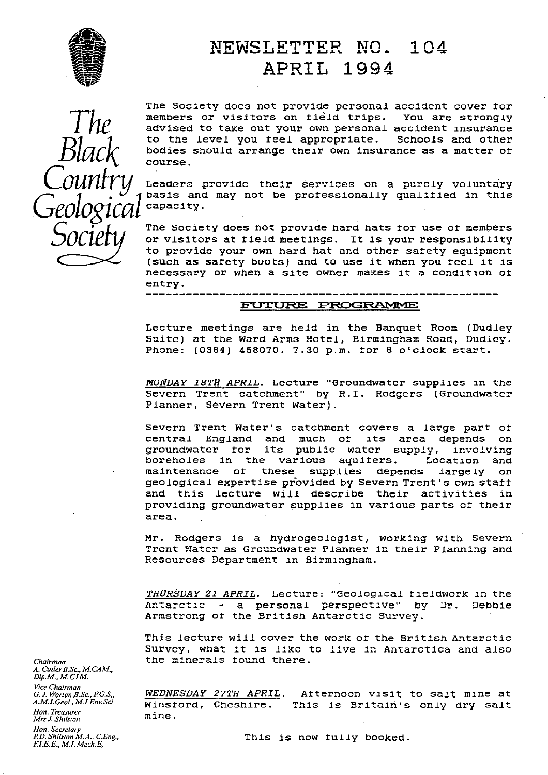

# **EXAMPLE IS A FOUR I FOUR PROPERTIER NO. 104** APRIL 1994

Black Count y<br>.-

The Society does not provide personal accident cover for members or visitors on field trips. You are strongly advised to take out your own personal accident insurance to the level you teel appropriate. Schools and other bodies should arrange their own insurance as a matter or course.

Leaders provide their services on a purely voluntary basis and may not be processionally qualitied in this capacity.<br>The Society does not provide hard hats for use of members

**Society** The Society does not provide hard hats tor use of members<br>
or visitors at tield meetings. It is your responsibility<br>
to provide your own hard hat and other satety equipment to provide your own hard hat and other safety equipment (such as satety boots) and to use it when you reel it is necessary or when a site owner makes it a condition of .entry.

### FUTURE PROGRAMME

------------

Lecture meetings are held in the Banquet Room (Dudley Suite) at the Ward Arms Hotel, Birmingham Road, Dudley. Phone: (0384) 458070. 7.30 p.m. for 8 o'clock start.

MONDAY 18TH APRIL. Lecture "Groundwater supplies in the Severn Trent catchment" by R.I. Rodgers (Groundwater Planner, Severn Trent Water).

Severn Trent Water's catchment covers a large part ot central England and much of its area depends on groundwater for its public water supply, involving boreholes in the various aquifers. Location and maintenance or these supplies depends largely on geological expertise provided by Severn Trent's own start and this lecture will describe their activities in providing groundwater supplies in various parts of their area.

Mr. Rodgers is a hydrogeologist, working with Severn Trent Water as Groundwater Planner in their Planning and Resources Department in Birmingham.

*THURSDAY 21 APRIL .* Lecture: 'Geologicalf eldwork in the Antarctic - a personal perspective" by Dr. Debbie Armstrong of the British Antarctic Survey.

This lecture will cover the work of the British Antarctic Survey, what it is like to live in Antarctica and also *Chairman* the minerals found there.

*G.J. Worton B.Sc., F.G.S., WEDNESDAY 27TH APRIL*. Atternoon visit to salt mine at<br>A.M.I.Geol, M.I.Env.Sci. Minstord Cheshine This is Britainle only dry salt Winstord, Cheshire. This is Britain's only dry salt mine.

*Hon. Treasurer* **Mrs J. Shilston** *Hon. Secretary F*I.E.E., *M.L Mech.E.*

*A. CutlerB.Sc., M.CAM., \_ Dip\_M., M. CIM*

*Vice Chairman*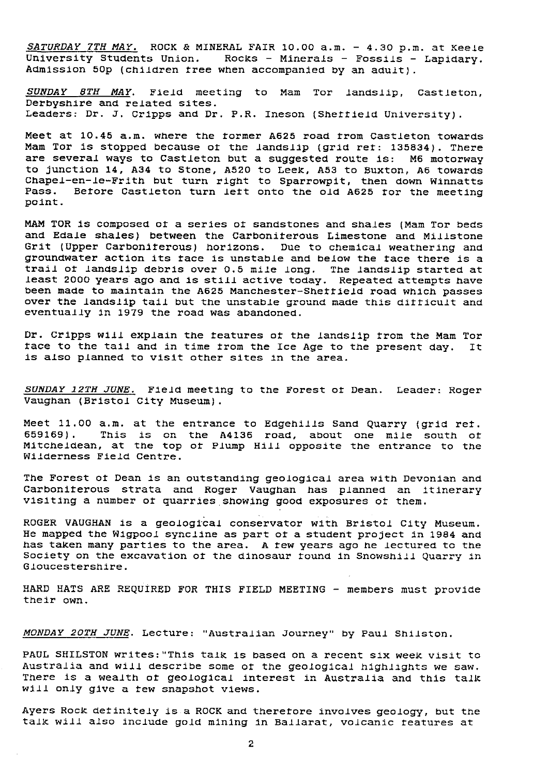*SATURDAY 7TH MAY.* ROCK & MINERAL FAIR 10.00 a.m. - 4.30 p.m. at Keele University Students Union. Rocks - Minerals - Fossils - Lapidary. Admission 50p (children tree when accompanied by an adult).

*SUNDAY 8TH MAY.* Field meeting to Mam Tor landslip, Castteton, Derbyshire and related sites. Leaders: Dr. J. Cripps and Dr. P.R. Ineson (Sheffield University).

Meet at 10.45 a.m. where the former A625 road from Castleton towards Mam Tor is stopped because of the landslip (grid ret: 135834). There are several ways to Castleton but a suggested route is: M6 motorway to junction 14, A34 to Stone, A520 to Leek, A53 to Buxton, AS towards Chapel-en-le-Frith but turn right to Sparrowpit, then down Winnatts Pass. Before Castleton turn Jett onto the old A625 for the meeting point.

MAM TOR is composed of a series of sandstones and shales (Mam Tor beds and Edale shales) between the Carboniterous Limestone and Millstone Grit (Upper Carboniferous) horizons. Due to chemical weathering and groundwater action its face is unstable and below the face there is a trail of landslip debris over 0.5 mile long. The landslip started at least 2000 years ago and is still active today. Repeated attempts have been made to maintain the A625 Manchester-Shettield road which passes over the landslip tail but the unstable ground made this difficult and eventually in 1979 the road was abandoned.

Dr. Cripps will explain the features of the landslip from the Mam Tor<br>face to the tail and in time from the Ice Age to the present day. It face to the tail and in time from the Ice Age to the present day. is also planned to visit other sites in the area.

*SUNDAY 12TH JUNE.* Field meeting to the Forest of Dean. Leader: Roger Vaughan (Bristol City Museum).

Meet 11.00 a.m. at the entrance to Edgehllls Sand Quarry (grid ret. 659169). This is on the A4136 road, about one mile south or Mitcheldean, at the top of Plump Hill opposite the entrance to the Wilderness Field Centre.

The Forest of Dean is an outstanding geological area with Devonian and Carboniferous strata and Roger Vaughan has planned an itinerary visiting a number of quarries showing good exposures of them.

ROGER VAUGHAN is a geological conservator with Bristol City Museum. He mapped the Wigpool syncline as part of a student project in 1984 and has taker. many parties to the area. A few years ago he lectured to the Society on the excavation of the dinosaur found in Snowshill Quarry in Gloucestershire.

HARD HATS ARE REQUIRED FOR THIS FIELD MEETING - members must provide their own.

MONDAY 20TH JUNE. Lecture: "Australian Journey" by Paul Shilston.

PAUL SHILSTON writes:"This talk is based on a recent six week visit to Australia and will describe some of the geological highlights we saw. There is a wealth of geological interest in Australia and this talk will only give a few snapshot views.

Ayers Rock detinitely is a ROCK and therefore involves geology, but the talk will also include gold mining in Ballarat, volcanic features at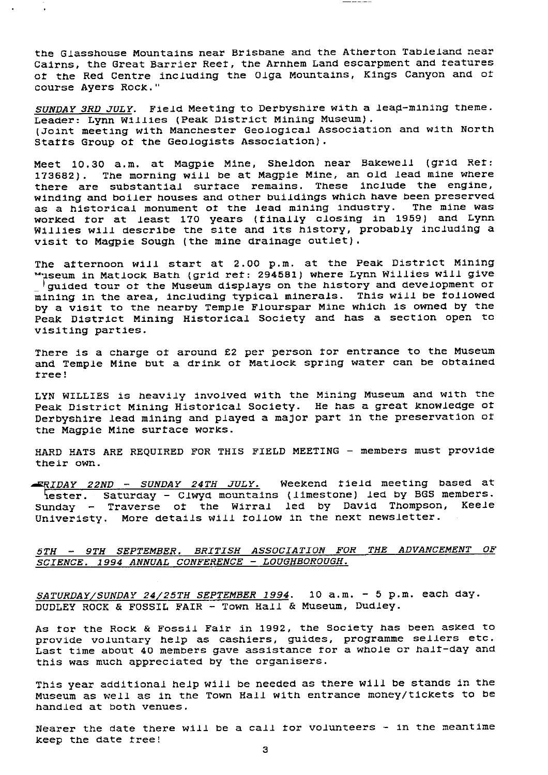the Glasshouse Mountains near Brisbane and the Atherton Tableland near Cairns, the Great Barrier Reet, the Arnhem Land escarpment and features of the Red Centre including the Olga Mountains, Kings Canyon and of course Ayers Rock."

*SUNDAY 3RD* JULY. Field Meeting to Derbyshire with a *lead-*mining theme. Leader: Lynn Willies (Peak District Mining Museum). (Joint meeting with Manchester Geological Association and with North Starts Group of the Geologists Association).

Meet 10.30 a.m. at Magpie Mine, Sheldon near Bakewell (grid Ref: 173682). The morning will be at Magpie Mine, an old lead mine where there are substantial surface remains. These include the engine, winding and boiler houses and other buildings which have been preserved as a historical monument of the lead mining industry. The mine was worked for at least 170 years (finally closing in 1959) and Lynn Willies will describe the site and its history, probably including a visit to Magpie Sough (the mine drainage outlet).

The afternoon will start at 2.00 p.m. at the Peak District Mining "useum in Matlock Bath (grid ref: 294581) where Lynn Willies will give guided tour of the Museum displays on the history and development of mining in the area, including typical minerals. This will be followed by a visit to the nearby Temple Flourspar Mine which is owned by the Peak District Mining Historical Society and has a section open to visiting parties.

There is a charge of around £2 per person for entrance to the Museum and Temple Mine but a drink of Matlock spring water can be obtained tree!

LYN WILLIES is heavily involved with the Mining Museum and with the Peak District Mining Historical Society. He has a great knowledge of Derbyshire lead mining and played a major part in the preservation at the Magpie Mine surface works.

HARD HATS ARE REQUIRED FOR THIS FIELD MEETING - members must provide their own.

FRIDAY 22ND - SUNDAY 24TH JULY. Weekend field meeting based at ester. Saturday - Ciwyd mountains (limestone) led by BGS members. Sunday - Traverse of the Wirral led by David Thompson, Keele Univeristy. More details will follow in the next newsletter.

### 5TH - 9TH SEPTEMBER. BRITISH **ASSOCIATION** FOR THE ADVANCEMENT OF SCIENCE. 1994 ANNUAL CONFERENCE - LOUGHBOROUGH.

SATURDAY/SUNDAY 24/25TH SEPTEMBER 1994. 10 a.m. - 5 p.m. each day. DUDLEY ROCK & FOSSIL FAIR - Town Hall & Museum, Dudley.

As for the Rock & Fossil Fair in 1992, the Society has *been* asked to provide voluntary help as cashiers, guides, programme sellers etc. Last time about 40 members gave assistance for a whole or halt-day and this was much appreciated by the organisers.

This year additional help will be needed as there will be stands in the Museum as well as in the Town Hall with entrance money/tickets to be handled at both venues.

Nearer the date there will be a call for volunteers - in the meantime keep the date tree!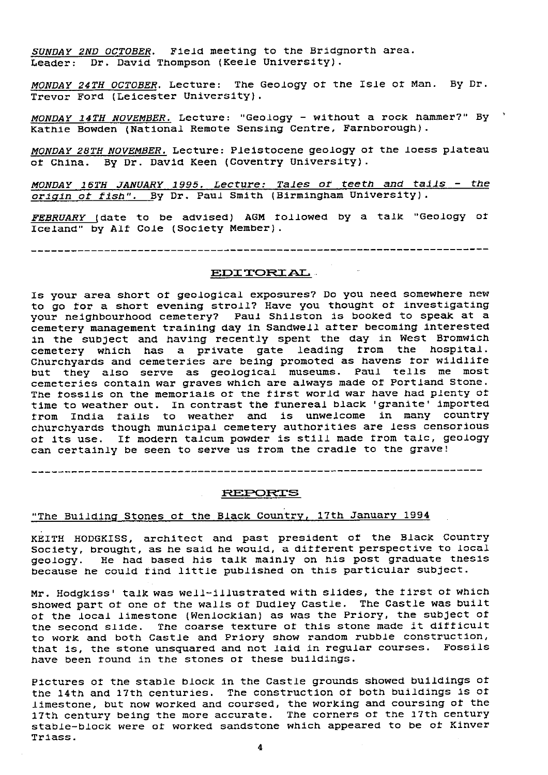SUNDAY 2ND OCTOBER . Field meeting to the Bridgnorth area. Leader: Dr. David Thompson (Keele University).

MONDAY 24TH OCTOBER. Lecture: The Geology of the Isle of Man. By Dr. Trevor Ford (Leicester University).

MONDAY 14TH NOVEMBER. Lecture: "Geology - without a rock hammer?" By Kathie Bowden (National Remote Sensing Centre, Farnborough).

MONDAY 28TH NOVEMBER. Lecture: Pleistocene geology of the loess plateau of China. By Dr. David Keen (Coventry University).

*MONDAY 16TH JANUARY 1995. Lecture: Tales of* teeth *and tails - the* origin of fish". By Dr. Paul Smith (Birmingham University).

FEBRUARY (date to be advised) AGM followed by a talk "Geology of Iceland" by Alt Cole (Society Member).

### EDITORIAL

Is your area short of geological exposures? Do you need somewhere new to go for a short evening stroll? Have you thought of investigating your neighbourhood cemetery? Paul Shilston is booked to speak at a cemetery management training day in Sandwell after becoming interested in the subject and having recently spent the day in West Bromwich cemetery which has a private gate leading from the hospital. Churchyards and cemeteries are being promoted as havens for wildlife but they also serve as geological museums. Paul tells me most cemeteries contain war graves which are always made of Portland Stone. The fossils on the memorials of the first world war have had plenty of time to weather out. In contrast the funereal black 'granite' imported from India tails to weather and is unwelcome in many country churchyards though municipal cemetery authorities are less censorious of its use. If modern talcum powder is still made from talc, geology can certainly be seen to serve us from the cradle to the grave!

REPORTS

# "The Building Stones at the Black Countr<sup>y</sup> , 17th January 1994

KEITH HODGKISS, architect and past president of the Black Country Society, brought, as he said he would, a different perspective to local geology. He had based his talk mainly on his post graduate thesis because he could find little published on this particular subject.

Mr. Hodgkiss' talk was well-illustrated with slides, the first of which showed part of one of the walls of Dudley Castle. The Castle was built of the local limestone (Wenlockian) as was the Priory, the subject of the second slide. The coarse texture of this stone made it difficult to work and both Castle and Priory show random rubble construction, that is, the stone unsquared and not laid in regular courses. Fossils have been found in the stones of these buildings.

Pictures at the stable block in the Castle grounds showed buildings of the 14th and 17th centuries. The construction of both buildings is of limestone, but now worked and coursed, the working and coursing at the 17th century being the more accurate. The corners of the 17th century stable-block were of worked sandstone which appeared to be of Kinver Triass.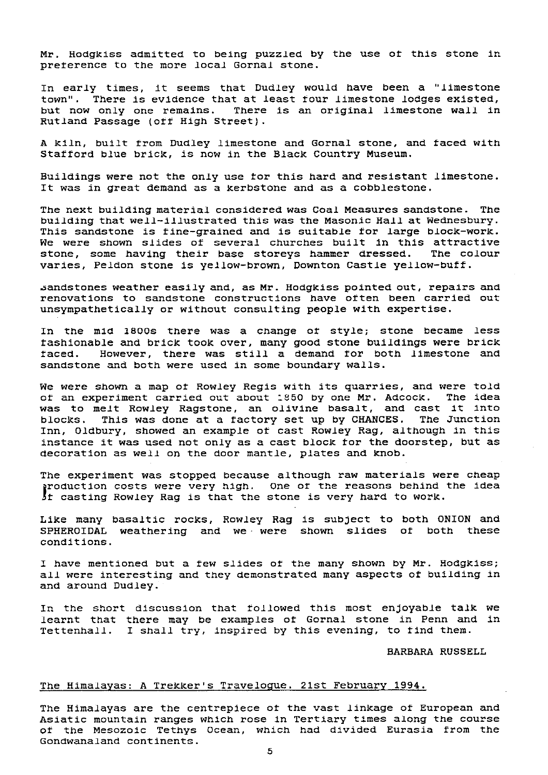Mr. Hodgkiss admitted to being puzzled by the use at this stone in preference to the more local Gornal stone.

In early times, it seems that Dudley would have been a "limestone town". There is evidence that at least tour limestone lodges existed, but now only one remains. There is an original limestone wall in Rutland Passage (off High Street).

A kiln, built from Dudley limestone and Gornal stone, and faced with Stafford blue brick, is now in the Black Country Museum.

Buildings were not the only use for this hard and resistant limestone. It was in great demand as a kerbstone and as a cobblestone.

The next building material considered was Coal Measures sandstone. The building that well-illustrated this was the Masonic Hall at Wednesbury. This sandstone is tine-grained and is suitable for large block-work. We were shown slides of several churches built in this attractive stone, some having their base storeys hammer dressed. The colour varies, Peldon stone is yellow-brown, Downton Castle yellow-buff.

.sandstones weather easily and, as Mr. Hodgkiss pointed out, repairs and renovations to sandstone constructions have often been carried out unsympathetically or without consulting people with expertise.

In the mid 18OOs there was a change of style; stone became less fashionable and brick took over, many good stone buildings were brick faced. However, there was still a demand for both limestone and sandstone and both were used in some boundary walls.

We were shown a map of Rowley Regis with its quarries, and were told of an experiment carried out about 1850 by one Mr. Adcock. The idea was to melt Rowley Ragstone, an olivine basalt, and cast it into blocks. This was done at a factory set up by CHANCES. The Junction *Inn,* Oldbury, showed an example of cast Rowley Rag, although in this instance it was used not only as a cast block for the doorstep, but as decoration as well on the door mantle, plates and knob.

The experiment was stopped because although raw materials were cheap roduction costs were very high. One of the reasons behind the idea It casting Rowley Rag is that the stone is very hard to work.

Like many basaltic rocks, Rowley Rag is subject to both ONION and<br>SPHEROIDAL weathering and we were shown slides of both these SPHEROIDAL weathering and we were shown slides of both conditions.

I have mentioned but a few slides of the many shown by Mr. Hodgkiss; all were interesting and they demonstrated many aspects of building in and around Dudley.

In the short discussion that followed this most enjoyable talk we learnt that there may be examples at Gornal stone in Penn and in Tettenhall. I shall try, inspired by this evening, to find them.

BARBARA RUSSELL

## <u>The Himalayas: A Trekker's Travelogue. 21st February 1994</u>

The Himalayas are the centrepiece of the vast linkage of European and Asiatic mountain ranges which rose in Tertiary times along the course of the Mesozoic Tethys Ocean, which had divided Eurasia from the Gondwanaland continents.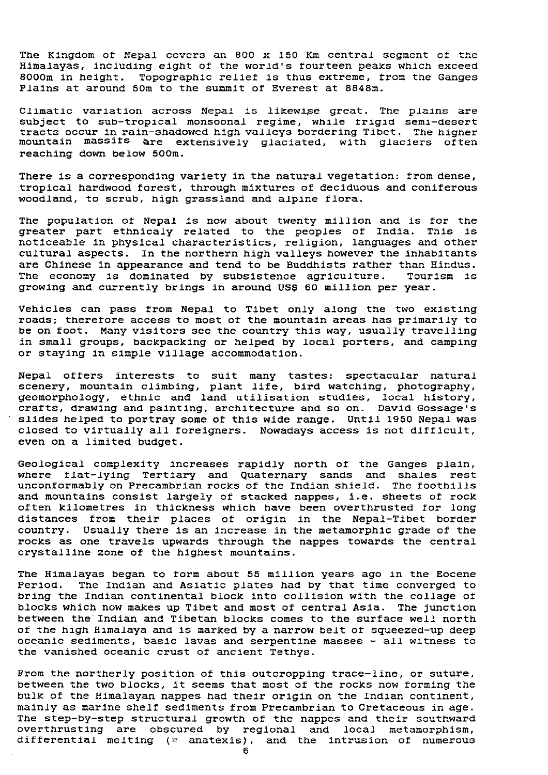The Kingdom of Nepal covers an 800 x 150 Km central segment of the Himalayas, including eight of the world's fourteen peaks which exceed 8000m in height. Topographic relief is thus extreme, from the Ganges Plains at around 50m to the summit of Everest at 8848m.

Climatic variation across Nepal **is likewise** great. The plains are subject to sub-tropical monsoonal regime, while frigid semi-desert tracts occur in rain-shadowed high valleys bordering Tibet. The higher mountain massifs are extensively glaciated, with glaciers often reaching down below 500m.

There is a corresponding variety in the natural vegetation: from dense, tropical hardwood forest, through mixtures of deciduous and coniferous woodland, to scrub, high grassland and alpine flora.

The population at Nepal is now about twenty million and is for the greater part ethnicaly related to the peoples of India. This is noticeable in physical characteristics, religion, languages and other cultural aspects. In the northern high valleys however the inhabitants are Chinese in appearance and tend to be Buddhists rather than Hindus.<br>The economy is dominated by subsistence agriculture. Tourism is The economy is dominated by subsistence agriculture. growing and currently brings in around US\$ 60 million per year.

Vehicles can pass from Nepal to Tibet only along the two existing roads; therefore access to most of the mountain areas has primarily to be on toot. Many visitors see the country this way, usually travelling in small groups, backpacking or helped by local porters, and camping or staying in simple village accommodation.

Nepal otters interests to suit many tastes: spectacular natural scenery, mountain climbing, plant life, bird watching, photography geomorphology, ethnic and land utilisation studies, local history, crafts, drawing and painting, architecture and so on. David Gossage's slides helped to portray some of this wide range. Until 1950 Nepal was closed to virtually all foreigners. Nowadays access is not difficult, even on a limited budget.

Geological complexity increases rapidly north of the Ganges plain, where flat-lying Tertiary and Quaternary sands and shales rest unconformably on Precambrian rocks of the Indian shield. The foothills and mountains consist largely of stacked nappes, i.e. sheets of rock often kilometres in thickness which have been overthrusted for long distances from their places of origin in the Nepal-Tibet border country. Usually there is an increase in the metamorphic grade of the rocks as one travels upwards through the nappes towards the central crystalline zone of the highest mountains.

The Himalayas began to form about 55 million years ago in the Eocene Period. The Indian and Asiatic plates had by that time converged to bring the Indian continental block into collision with the collage of blocks which now makes up Tibet and most of central Asia. The junction between the Indian and Tibetan blocks comes to the surface well north of the high Himalaya and is marked by a narrow belt of squeezed-up deep oceanic sediments, basic lavas and serpentine masses - all witness to the vanished oceanic crust of ancient Tethys.

From the northerly position of this outcropping trace-line, or suture, between the two blocks, it seems that most of the rocks now forming the bulk of the Himalayan nappes had their origin on the Indian continent, mainly as marine shelf sediments from Precambrian to Cretaceous in age. The step-by-step structural growth of the nappes and their southward overthrusting are obscured by regional and local metamorphism, differential melting (= anatexis), and the intrusion of numerous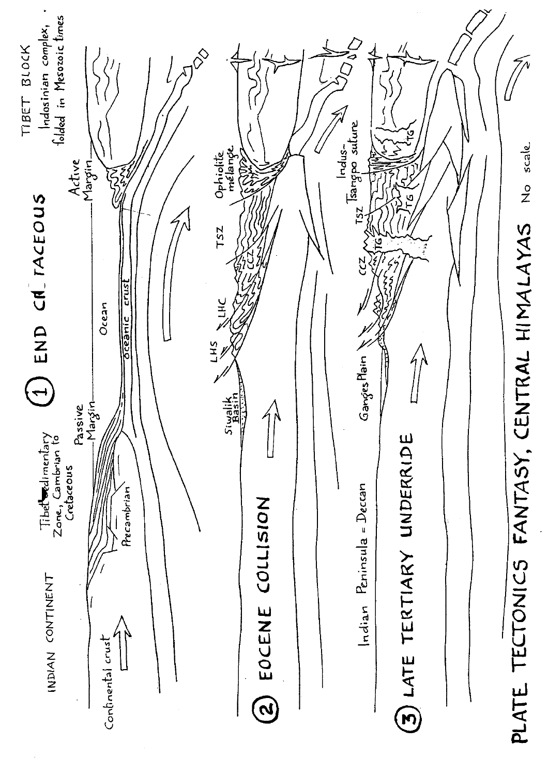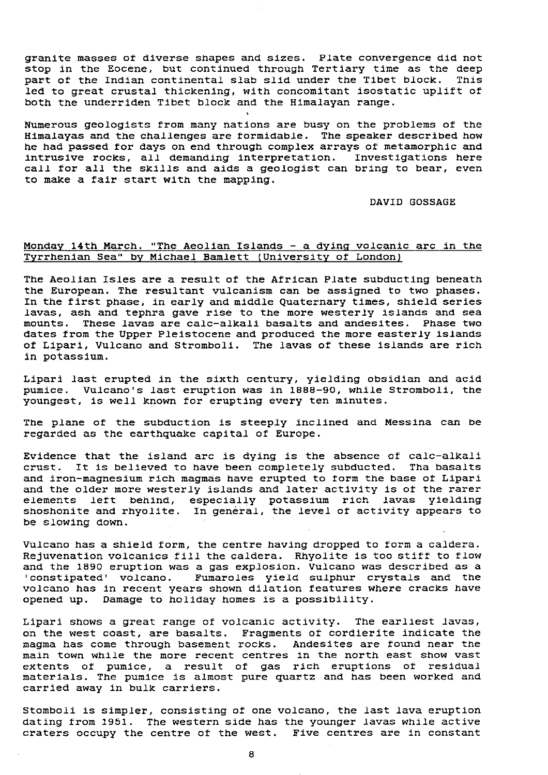granite masses of diverse shapes and sizes. Plate convergence did not stop in the Eocene, but continued through Tertiary time as the deep<br>part of the Indian continental slab slid under the Tibet block. This part of the Indian continental slab slid under the Tibet block. led to great crustal thickening, with concomitant isostatic uplift of both the underriden Tibet block and the Himalayan range.

Numerous geologists from many nations are busy on the problems of the Himalayas and the challenges are formidable. The speaker described how he had passed for days on end through complex arrays of metamorphic and intrusive rocks, all demanding interpretation. Investigations here call for all the skills and aids a geologist can bring to bear, even to make a fair start with the mapping.

### DAVID GOSSAGE

### Monday 14th March. "The Aeolian Islands - a dying volcanic arc in the Tyrrhenian Sea" by Michael Bamlett ( University of London)

The Aeolian Isles are a result of the African Plate subducting beneath the European. The resultant vulcanism can be assigned to two phases. In the first phase, in early and middle Quaternary times, shield series lavas, ash and tephra gave rise to the more westerly islands and sea mounts. These lavas are talc-alkali basalts and andesites. Phase two dates from the Upper Pleistocene and produced the more easterly islands of Lipari, Vulcano and Stromboli. The lavas of these islands are rich in potassium.

Lipari last erupted in the sixth century, yielding obsidian and acid pumice. Vulcano's last eruption was in 1888-90, while Stromboli, the youngest, is well known for erupting every ten minutes.

The plane of the cubduction is steeply inclined and Messina can be regarded as the earthquake capital of Europe.

Evidence that the island arc is dying is the absence of calc-alkali crust. It is believed to have been completely subducted. Tha basalts and iron-magnesium rich magmas have erupted to farm the base of Lipari and the older more westerly islands and later activity is of the rarer elements left behind, especially potassium rich lavas yielding shoshonite and rhyolite. In general, the level of activity appears to be slowing down.

Vulcano has a shield form, the centre having dropped to form a caldera. Rejuvenation volcanics fill the caldera. Rhyolite is too stiff to flow and the 1890 eruption was a gas explosion. Vulcano was described as a 'constipated' volcano. Fumaroles yield sulphur crystals and the volcano has in recent years shown dilation features where cracks have opened up. Damage to holiday homes is a possibility.

Lipari shows a great range of volcanic activity. The earliest lavas, on the west coast, are basalts. Fragments of cordierite indicate the magma has come through basement rocks. Andesites are found near the main town while the more recent centres in the north east show vast extents of pumice, a result of gas rich eruptions of residual materials. The pumice is almost pure quartz and has been worked and carried away in bulk carriers.

Stomboli is simpler, consisting of one volcano, the last lava eruption dating from 1951. The western side has the younger lavas while active craters occupy the centre of the west. Five centres are in constant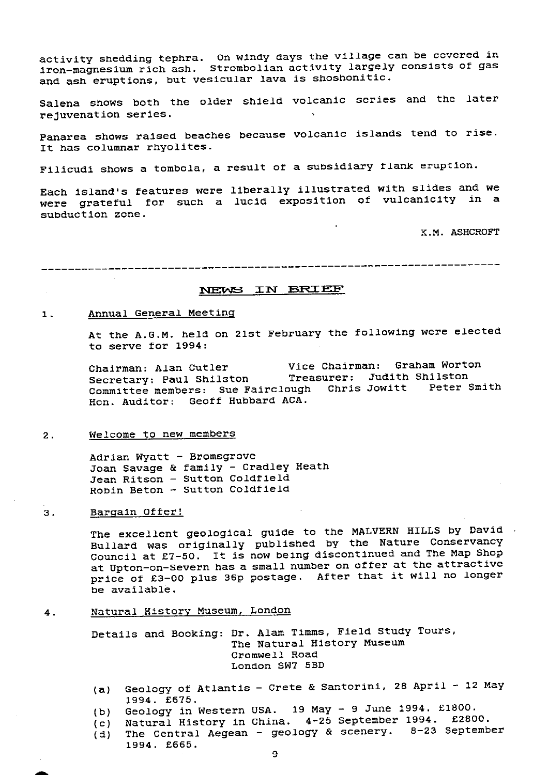activity shedding tephra. On windy days the village can be covered in iron-magnesium rich ash. Strombolian activity largely consists of gas and ash eruptions, but vesicular lava is shoshonitic.

Salena shows both the older shield volcanic series and the later rejuvenation series.

Panarea shows raised beaches because volcanic islands tend to rise. It has columnar rhyolites.

**Filicudi** shows a tombola, a result of a subsidiary flank eruption.

Each island's features were liberally illustrated with slides and we were grateful for such a lucid exposition of vulcanicity in a subduction zone.

K.M. ASHCROFT

**1VET =** N **E3FZX** 1=

### 1. Annual General Meeting

At the A.G.M. held on 21st February the following were elected to serve for 1994:

Chairman: Alan Cutler Vice Chairman: Graham Worton Secretary: Paul Shilston Treasurer: Judith Shilston Committee members: Sue Fairclough Chris Jowitt Peter Smith Hon. Auditor: Geoff Hubbard ACA.

### 2. Welcome to new members

Adrian Wyatt - Bromsgrove Joan Savage & family - Cradley Heath Jean Ritson - Sutton Coldfield Robin Beton - Sutton Coldfield

### 3. Bargain Otter!

The excellent geological guide to the MALVERN HILLS by David Bullard was originally published by the Nature Conservancy Council at £7-50. It is now being discontinued and The Map Shop at Upton-on-Severn has a small number on otter at the attractive price of £3-00 plus 35p postage. After that it will no longer be available.

4. Natural Histor<sup>y</sup> Museum, London

Details and Booking: Dr. Alan Timms, Field Study Tours, The Natural History Museum Cromwell Road London SW7 5BD

- (a) Geology of Atlantis Crete & Santorini, 28 April 12 May 1994. £675.
- (b) Geology in Western USA. 19 May 9 June 1994. £1800.
- (c) Natural History in China. 4-25 September 1994. £2800.
- (d) The Central Aegean geology & scenery. 8-23 September 1994. £565.